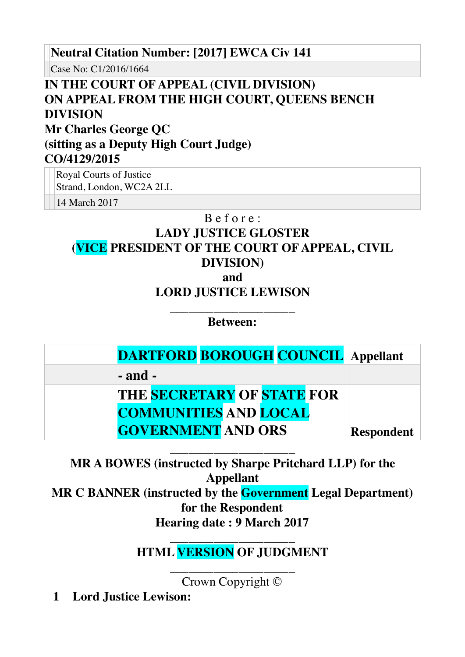**Neutral Citation Number: [2017] EWCA Civ 141**

Case No: C1/2016/1664

## **IN THE COURT OF APPEAL (CIVIL DIVISION) ON APPEAL FROM THE HIGH COURT, QUEENS BENCH DIVISION Mr Charles George QC (sitting as a Deputy High Court Judge) CO/4129/2015**

Royal Courts of Justice Strand, London, WC2A 2LL

14 March 2017

### B e f o r e :

# **LADY JUSTICE GLOSTER (VICE PRESIDENT OF THE COURT OF APPEAL, CIVIL DIVISION)**

**and**

### **LORD JUSTICE LEWISON**

\_\_\_\_\_\_\_\_\_\_\_\_\_\_\_\_\_\_\_\_ **Between:**

| <b>DARTFORD BOROUGH COUNCIL Appellant</b> |                   |
|-------------------------------------------|-------------------|
| $-$ and $-$                               |                   |
| <b>THE SECRETARY OF STATE FOR</b>         |                   |
| <b>COMMUNITIES AND LOCAL</b>              |                   |
| <b>GOVERNMENT AND ORS</b>                 | <b>Respondent</b> |

\_\_\_\_\_\_\_\_\_\_\_\_\_\_\_\_\_\_\_\_ **MR A BOWES (instructed by Sharpe Pritchard LLP) for the Appellant MR C BANNER (instructed by the Government Legal Department) for the Respondent Hearing date : 9 March 2017** 

### \_\_\_\_\_\_\_\_\_\_\_\_\_\_\_\_\_\_\_\_ **HTML VERSION OF JUDGMENT**

\_\_\_\_\_\_\_\_\_\_\_\_\_\_\_\_\_\_\_\_ Crown Copyright ©

**1 Lord Justice Lewison:**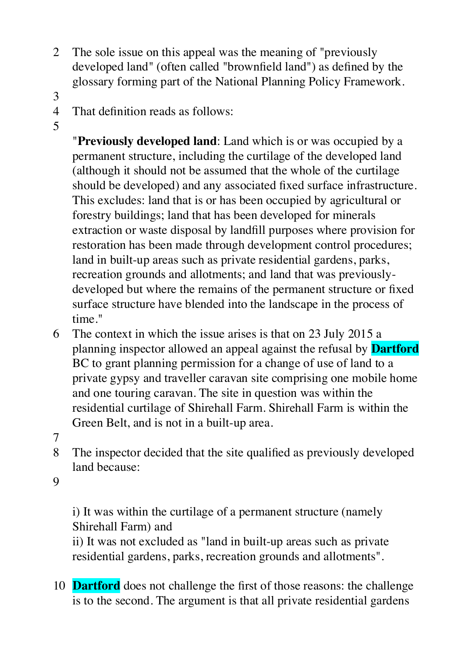- 2 The sole issue on this appeal was the meaning of "previously developed land" (often called "brownfield land") as defined by the glossary forming part of the National Planning Policy Framework.
- 3
- 4 That definition reads as follows:
- 5

"**Previously developed land**: Land which is or was occupied by a permanent structure, including the curtilage of the developed land (although it should not be assumed that the whole of the curtilage should be developed) and any associated fixed surface infrastructure. This excludes: land that is or has been occupied by agricultural or forestry buildings; land that has been developed for minerals extraction or waste disposal by landfill purposes where provision for restoration has been made through development control procedures; land in built-up areas such as private residential gardens, parks, recreation grounds and allotments; and land that was previouslydeveloped but where the remains of the permanent structure or fixed surface structure have blended into the landscape in the process of time."

- 6 The context in which the issue arises is that on 23 July 2015 a planning inspector allowed an appeal against the refusal by **Dartford** BC to grant planning permission for a change of use of land to a private gypsy and traveller caravan site comprising one mobile home and one touring caravan. The site in question was within the residential curtilage of Shirehall Farm. Shirehall Farm is within the Green Belt, and is not in a built-up area.
- 7
- 8 The inspector decided that the site qualified as previously developed land because:

9

i) It was within the curtilage of a permanent structure (namely Shirehall Farm) and

ii) It was not excluded as "land in built-up areas such as private residential gardens, parks, recreation grounds and allotments".

10 **Dartford** does not challenge the first of those reasons: the challenge is to the second. The argument is that all private residential gardens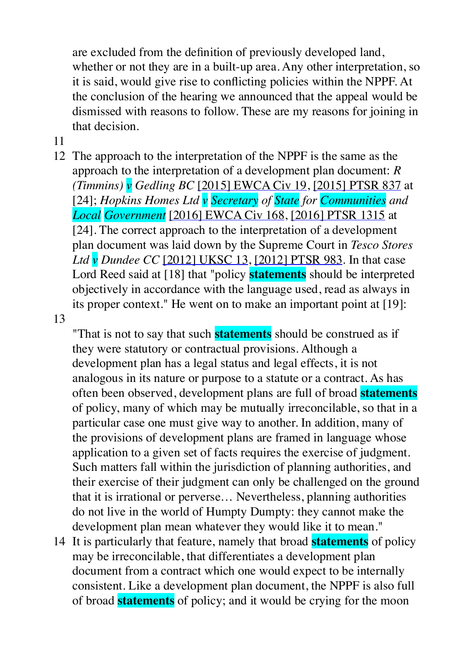are excluded from the definition of previously developed land, whether or not they are in a built-up area. Any other interpretation, so it is said, would give rise to conflicting policies within the NPPF. At the conclusion of the hearing we announced that the appeal would be dismissed with reasons to follow. These are my reasons for joining in that decision.

- 11
- 12 The approach to the interpretation of the NPPF is the same as the approach to the interpretation of a development plan document: *R (Timmins) v Gedling BC* [\[2015\] EWCA Civ 19](http://www.bailii.org/ew/cases/EWCA/Civ/2015/19.html), [\[2015\] PTSR 837](http://www.bailii.org/ew/cases/EWCA/Civ/2015/10.html) at [24]; *Hopkins Homes Ltd v Secretary of State for Communities and Local Government* [\[2016\] EWCA Civ 168](http://www.bailii.org/ew/cases/EWCA/Civ/2016/168.html), [\[2016\] PTSR 1315](http://www.bailii.org/ew/cases/EWCA/Civ/2016/168.html) at [24]. The correct approach to the interpretation of a development plan document was laid down by the Supreme Court in *Tesco Stores Ltd v Dundee CC* [\[2012\] UKSC 13,](http://www.bailii.org/uk/cases/UKSC/2012/13.html) [\[2012\] PTSR 983](http://www.bailii.org/uk/cases/UKSC/2012/13.html). In that case Lord Reed said at [18] that "policy **statements** should be interpreted objectively in accordance with the language used, read as always in its proper context." He went on to make an important point at [19]:

13

"That is not to say that such **statements** should be construed as if they were statutory or contractual provisions. Although a development plan has a legal status and legal effects, it is not analogous in its nature or purpose to a statute or a contract. As has often been observed, development plans are full of broad **statements** of policy, many of which may be mutually irreconcilable, so that in a particular case one must give way to another. In addition, many of the provisions of development plans are framed in language whose application to a given set of facts requires the exercise of judgment. Such matters fall within the jurisdiction of planning authorities, and their exercise of their judgment can only be challenged on the ground that it is irrational or perverse… Nevertheless, planning authorities do not live in the world of Humpty Dumpty: they cannot make the development plan mean whatever they would like it to mean."

14 It is particularly that feature, namely that broad **statements** of policy may be irreconcilable, that differentiates a development plan document from a contract which one would expect to be internally consistent. Like a development plan document, the NPPF is also full of broad **statements** of policy; and it would be crying for the moon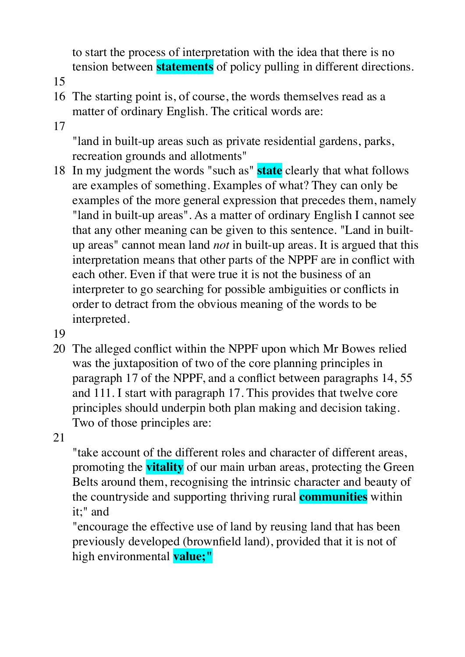to start the process of interpretation with the idea that there is no tension between **statements** of policy pulling in different directions.

- 15
- 16 The starting point is, of course, the words themselves read as a matter of ordinary English. The critical words are:
- 17

"land in built-up areas such as private residential gardens, parks, recreation grounds and allotments"

- 18 In my judgment the words "such as" **state** clearly that what follows are examples of something. Examples of what? They can only be examples of the more general expression that precedes them, namely "land in built-up areas". As a matter of ordinary English I cannot see that any other meaning can be given to this sentence. "Land in builtup areas" cannot mean land *not* in built-up areas. It is argued that this interpretation means that other parts of the NPPF are in conflict with each other. Even if that were true it is not the business of an interpreter to go searching for possible ambiguities or conflicts in order to detract from the obvious meaning of the words to be interpreted.
- 19
- 20 The alleged conflict within the NPPF upon which Mr Bowes relied was the juxtaposition of two of the core planning principles in paragraph 17 of the NPPF, and a conflict between paragraphs 14, 55 and 111. I start with paragraph 17. This provides that twelve core principles should underpin both plan making and decision taking. Two of those principles are:
- 21

"take account of the different roles and character of different areas, promoting the **vitality** of our main urban areas, protecting the Green Belts around them, recognising the intrinsic character and beauty of the countryside and supporting thriving rural **communities** within it;" and

"encourage the effective use of land by reusing land that has been previously developed (brownfield land), provided that it is not of high environmental **value;"**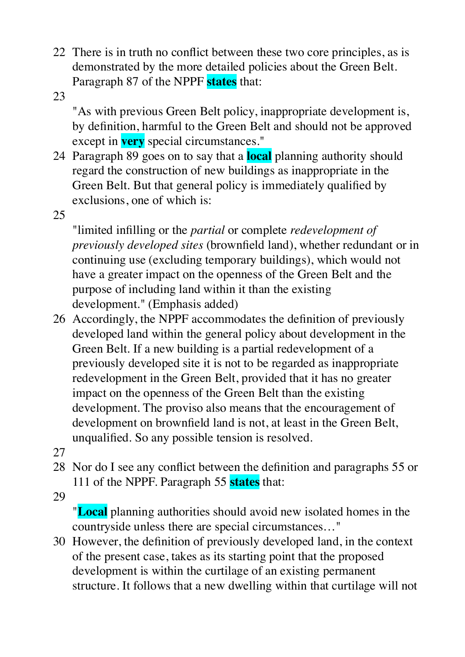- 22 There is in truth no conflict between these two core principles, as is demonstrated by the more detailed policies about the Green Belt. Paragraph 87 of the NPPF **states** that:
- 23

"As with previous Green Belt policy, inappropriate development is, by definition, harmful to the Green Belt and should not be approved except in **very** special circumstances."

- 24 Paragraph 89 goes on to say that a **local** planning authority should regard the construction of new buildings as inappropriate in the Green Belt. But that general policy is immediately qualified by exclusions, one of which is:
- 25

"limited infilling or the *partial* or complete *redevelopment of previously developed sites* (brownfield land), whether redundant or in continuing use (excluding temporary buildings), which would not have a greater impact on the openness of the Green Belt and the purpose of including land within it than the existing development." (Emphasis added)

- 26 Accordingly, the NPPF accommodates the definition of previously developed land within the general policy about development in the Green Belt. If a new building is a partial redevelopment of a previously developed site it is not to be regarded as inappropriate redevelopment in the Green Belt, provided that it has no greater impact on the openness of the Green Belt than the existing development. The proviso also means that the encouragement of development on brownfield land is not, at least in the Green Belt, unqualified. So any possible tension is resolved.
- 27
- 28 Nor do I see any conflict between the definition and paragraphs 55 or 111 of the NPPF. Paragraph 55 **states** that:
- 29

"**Local** planning authorities should avoid new isolated homes in the countryside unless there are special circumstances…"

30 However, the definition of previously developed land, in the context of the present case, takes as its starting point that the proposed development is within the curtilage of an existing permanent structure. It follows that a new dwelling within that curtilage will not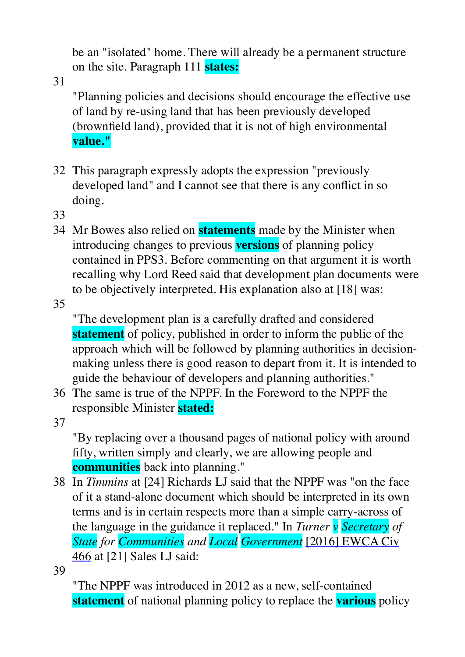be an "isolated" home. There will already be a permanent structure on the site. Paragraph 111 **states:**

31

"Planning policies and decisions should encourage the effective use of land by re-using land that has been previously developed (brownfield land), provided that it is not of high environmental **value."**

- 32 This paragraph expressly adopts the expression "previously developed land" and I cannot see that there is any conflict in so doing.
- 33
- 34 Mr Bowes also relied on **statements** made by the Minister when introducing changes to previous **versions** of planning policy contained in PPS3. Before commenting on that argument it is worth recalling why Lord Reed said that development plan documents were to be objectively interpreted. His explanation also at [18] was:

35

"The development plan is a carefully drafted and considered **statement** of policy, published in order to inform the public of the approach which will be followed by planning authorities in decisionmaking unless there is good reason to depart from it. It is intended to guide the behaviour of developers and planning authorities."

36 The same is true of the NPPF. In the Foreword to the NPPF the responsible Minister **stated:**

37

"By replacing over a thousand pages of national policy with around fifty, written simply and clearly, we are allowing people and **communities** back into planning."

38 In *Timmins* at [24] Richards LJ said that the NPPF was "on the face of it a stand-alone document which should be interpreted in its own terms and is in certain respects more than a simple carry-across of the language in the guidance it replaced." In *Turner v Secretary of State for Communities and Local Government* [\[2016\] EWCA Civ](http://www.bailii.org/ew/cases/EWCA/Civ/2016/466.html)  [466](http://www.bailii.org/ew/cases/EWCA/Civ/2016/466.html) at [21] Sales LJ said:

39

"The NPPF was introduced in 2012 as a new, self-contained **statement** of national planning policy to replace the **various** policy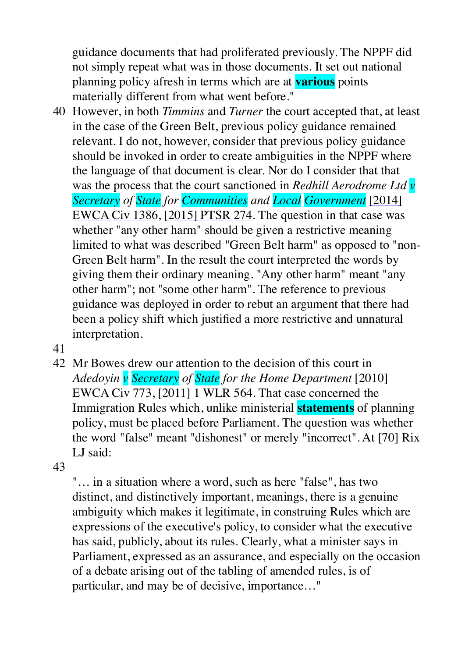guidance documents that had proliferated previously. The NPPF did not simply repeat what was in those documents. It set out national planning policy afresh in terms which are at **various** points materially different from what went before."

- 40 However, in both *Timmins* and *Turner* the court accepted that, at least in the case of the Green Belt, previous policy guidance remained relevant. I do not, however, consider that previous policy guidance should be invoked in order to create ambiguities in the NPPF where the language of that document is clear. Nor do I consider that that was the process that the court sanctioned in *Redhill Aerodrome Ltd v Secretary of State for Communities and Local Government* [\[2014\]](http://www.bailii.org/ew/cases/EWCA/Civ/2014/1386.html)  [EWCA Civ 1386](http://www.bailii.org/ew/cases/EWCA/Civ/2014/1386.html), [\[2015\] PTSR 274](http://www.bailii.org/ew/cases/EWCA/Civ/2014/1386.html). The question in that case was whether "any other harm" should be given a restrictive meaning limited to what was described "Green Belt harm" as opposed to "non-Green Belt harm". In the result the court interpreted the words by giving them their ordinary meaning. "Any other harm" meant "any other harm"; not "some other harm". The reference to previous guidance was deployed in order to rebut an argument that there had been a policy shift which justified a more restrictive and unnatural interpretation.
- 41
- 42 Mr Bowes drew our attention to the decision of this court in *Adedoyin v Secretary of State for the Home Department* [\[2010\]](http://www.bailii.org/ew/cases/EWCA/Civ/2010/773.html)  [EWCA Civ 773](http://www.bailii.org/ew/cases/EWCA/Civ/2010/773.html), [\[2011\] 1 WLR 564](http://www.bailii.org/cgi-bin/redirect.cgi?path=/ew/cases/EWCA/Civ/2010/773.html). That case concerned the Immigration Rules which, unlike ministerial **statements** of planning policy, must be placed before Parliament. The question was whether the word "false" meant "dishonest" or merely "incorrect". At [70] Rix LJ said:

43

"… in a situation where a word, such as here "false", has two distinct, and distinctively important, meanings, there is a genuine ambiguity which makes it legitimate, in construing Rules which are expressions of the executive's policy, to consider what the executive has said, publicly, about its rules. Clearly, what a minister says in Parliament, expressed as an assurance, and especially on the occasion of a debate arising out of the tabling of amended rules, is of particular, and may be of decisive, importance…"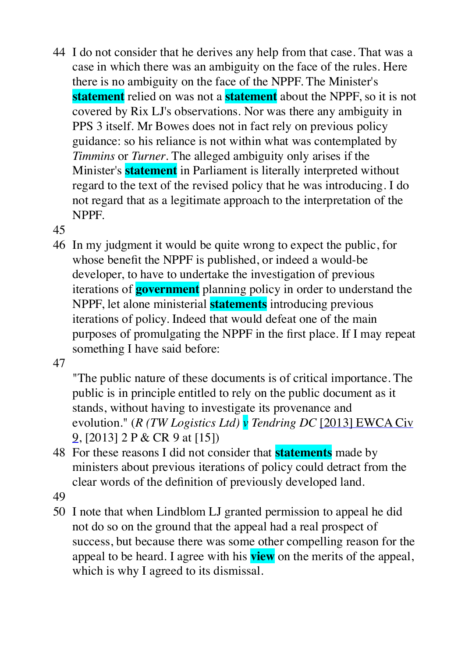- 44 I do not consider that he derives any help from that case. That was a case in which there was an ambiguity on the face of the rules. Here there is no ambiguity on the face of the NPPF. The Minister's **statement** relied on was not a **statement** about the NPPF, so it is not covered by Rix LJ's observations. Nor was there any ambiguity in PPS 3 itself. Mr Bowes does not in fact rely on previous policy guidance: so his reliance is not within what was contemplated by *Timmins* or *Turner*. The alleged ambiguity only arises if the Minister's **statement** in Parliament is literally interpreted without regard to the text of the revised policy that he was introducing. I do not regard that as a legitimate approach to the interpretation of the NPPF.
- 45
- 46 In my judgment it would be quite wrong to expect the public, for whose benefit the NPPF is published, or indeed a would-be developer, to have to undertake the investigation of previous iterations of **government** planning policy in order to understand the NPPF, let alone ministerial **statements** introducing previous iterations of policy. Indeed that would defeat one of the main purposes of promulgating the NPPF in the first place. If I may repeat something I have said before:

47

"The public nature of these documents is of critical importance. The public is in principle entitled to rely on the public document as it stands, without having to investigate its provenance and evolution." (*R (TW Logistics Ltd) v Tendring DC* [\[2013\] EWCA Civ](http://www.bailii.org/ew/cases/EWCA/Civ/2013/9.html)  [9](http://www.bailii.org/ew/cases/EWCA/Civ/2013/9.html), [2013] 2 P & CR 9 at [15])

- 48 For these reasons I did not consider that **statements** made by ministers about previous iterations of policy could detract from the clear words of the definition of previously developed land.
- 49
- 50 I note that when Lindblom LJ granted permission to appeal he did not do so on the ground that the appeal had a real prospect of success, but because there was some other compelling reason for the appeal to be heard. I agree with his **view** on the merits of the appeal, which is why I agreed to its dismissal.